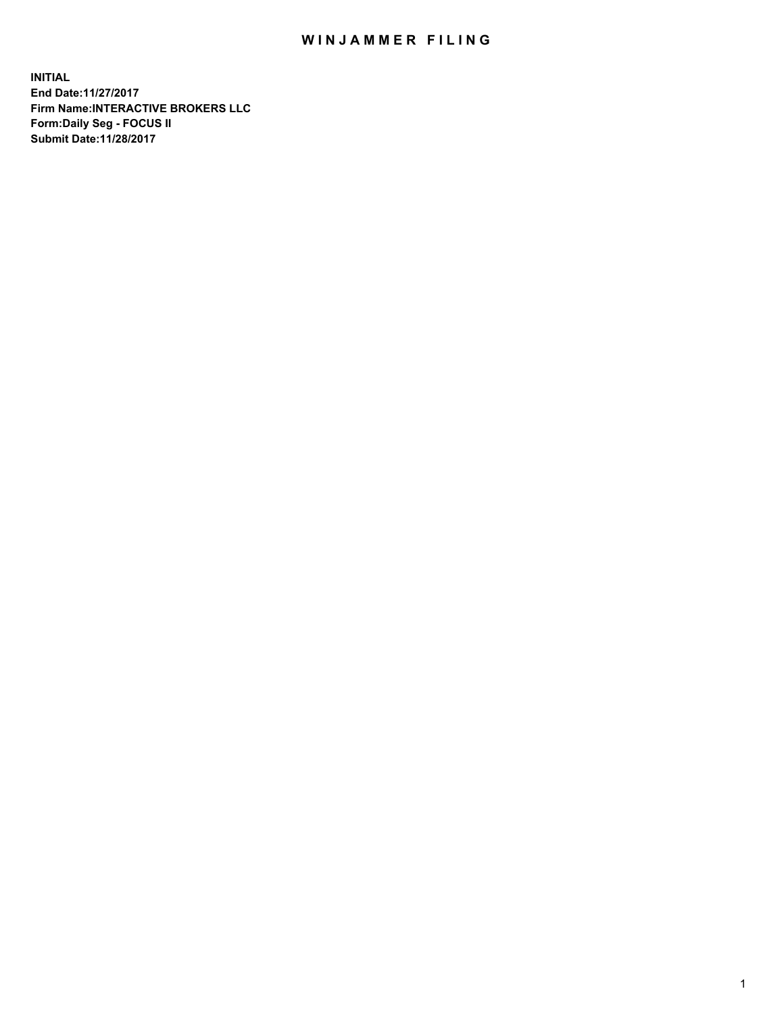## WIN JAMMER FILING

**INITIAL End Date:11/27/2017 Firm Name:INTERACTIVE BROKERS LLC Form:Daily Seg - FOCUS II Submit Date:11/28/2017**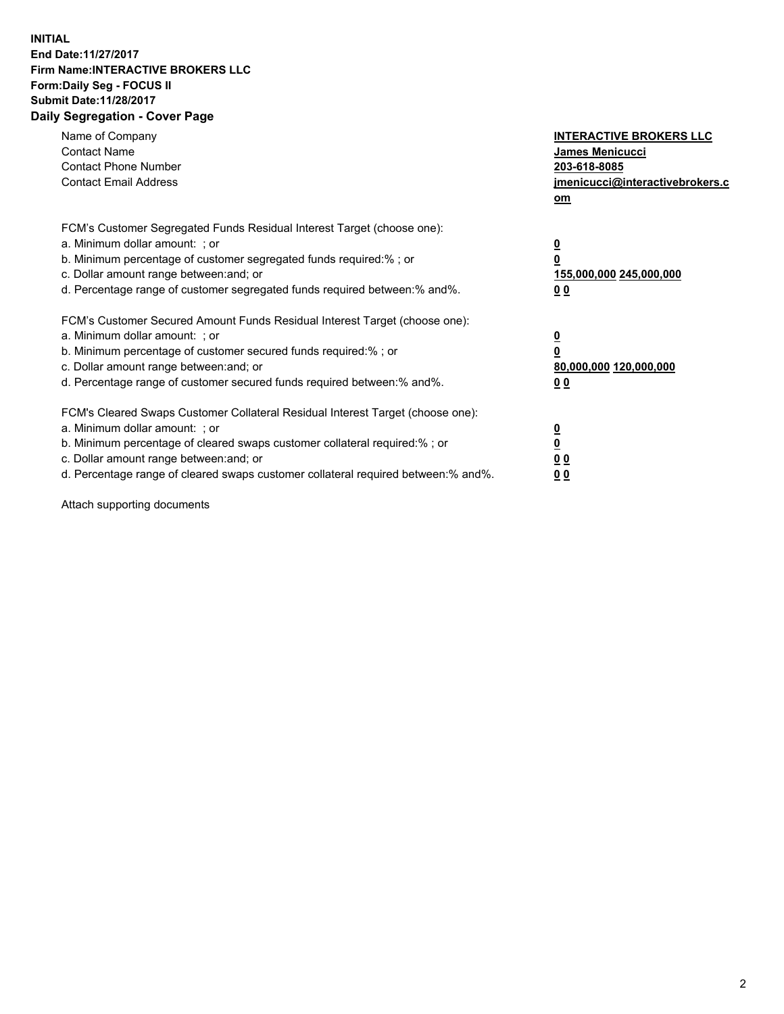## **INITIAL End Date:11/27/2017 Firm Name:INTERACTIVE BROKERS LLC Form:Daily Seg - FOCUS II Submit Date:11/28/2017 Daily Segregation - Cover Page**

| Name of Company<br><b>Contact Name</b><br><b>Contact Phone Number</b><br><b>Contact Email Address</b>                                                                                                                                                                                                                          | <b>INTERACTIVE BROKERS LLC</b><br><b>James Menicucci</b><br>203-618-8085<br>jmenicucci@interactivebrokers.c<br>om |
|--------------------------------------------------------------------------------------------------------------------------------------------------------------------------------------------------------------------------------------------------------------------------------------------------------------------------------|-------------------------------------------------------------------------------------------------------------------|
| FCM's Customer Segregated Funds Residual Interest Target (choose one):<br>a. Minimum dollar amount: ; or<br>b. Minimum percentage of customer segregated funds required:% ; or<br>c. Dollar amount range between: and; or<br>d. Percentage range of customer segregated funds required between:% and%.                         | $\overline{\mathbf{0}}$<br>0<br><u>155,000,000 245,000,000</u><br><u>00</u>                                       |
| FCM's Customer Secured Amount Funds Residual Interest Target (choose one):<br>a. Minimum dollar amount: ; or<br>b. Minimum percentage of customer secured funds required:%; or<br>c. Dollar amount range between: and; or<br>d. Percentage range of customer secured funds required between:% and%.                            | $\overline{\mathbf{0}}$<br>$\overline{\mathbf{0}}$<br>80,000,000 120,000,000<br>00                                |
| FCM's Cleared Swaps Customer Collateral Residual Interest Target (choose one):<br>a. Minimum dollar amount: ; or<br>b. Minimum percentage of cleared swaps customer collateral required:% ; or<br>c. Dollar amount range between: and; or<br>d. Percentage range of cleared swaps customer collateral required between:% and%. | $\underline{\mathbf{0}}$<br>$\underline{\mathbf{0}}$<br>0 <sub>0</sub><br>0 <sub>0</sub>                          |

Attach supporting documents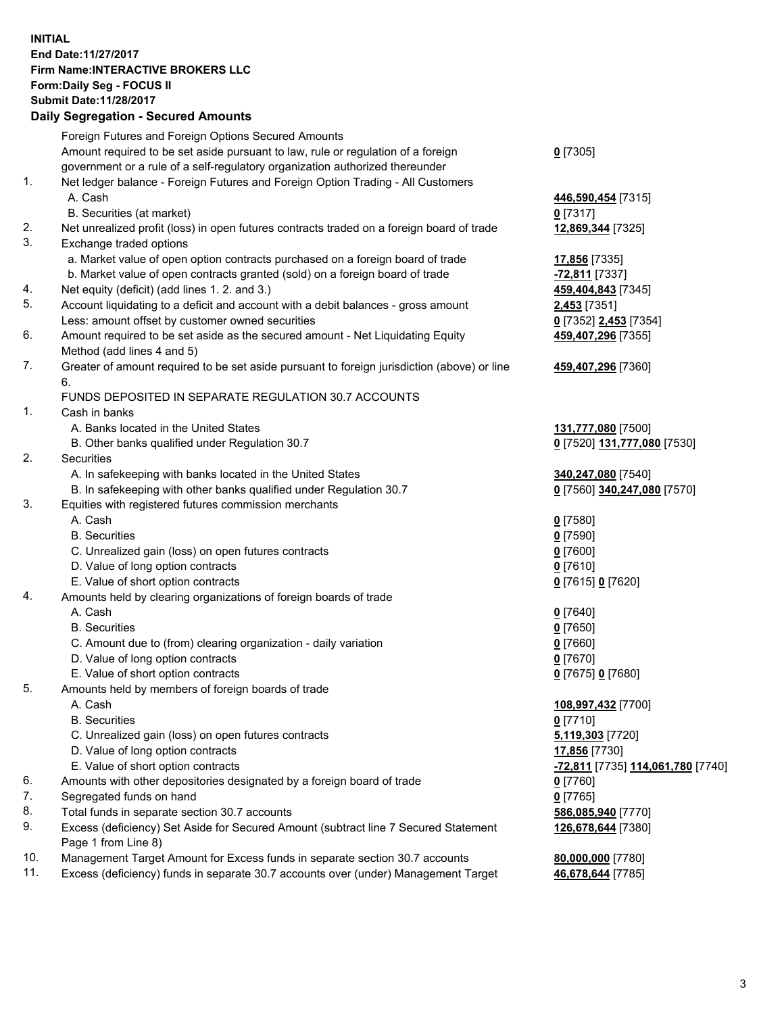## **INITIAL End Date:11/27/2017 Firm Name:INTERACTIVE BROKERS LLC Form:Daily Seg - FOCUS II Submit Date:11/28/2017 Daily Segregation - Secured Amounts**

|     | Daily Segregation - Secured Amounts                                                         |                                                       |
|-----|---------------------------------------------------------------------------------------------|-------------------------------------------------------|
|     | Foreign Futures and Foreign Options Secured Amounts                                         |                                                       |
|     | Amount required to be set aside pursuant to law, rule or regulation of a foreign            | $0$ [7305]                                            |
|     | government or a rule of a self-regulatory organization authorized thereunder                |                                                       |
| 1.  | Net ledger balance - Foreign Futures and Foreign Option Trading - All Customers             |                                                       |
|     | A. Cash                                                                                     | 446,590,454 [7315]                                    |
|     | B. Securities (at market)                                                                   | $0$ [7317]                                            |
| 2.  | Net unrealized profit (loss) in open futures contracts traded on a foreign board of trade   | 12,869,344 [7325]                                     |
| 3.  | Exchange traded options                                                                     |                                                       |
|     | a. Market value of open option contracts purchased on a foreign board of trade              | 17,856 [7335]                                         |
|     | b. Market value of open contracts granted (sold) on a foreign board of trade                | -72,811 [7337]                                        |
| 4.  | Net equity (deficit) (add lines 1.2. and 3.)                                                | 459,404,843 [7345]                                    |
| 5.  | Account liquidating to a deficit and account with a debit balances - gross amount           | 2,453 [7351]                                          |
|     | Less: amount offset by customer owned securities                                            | 0 [7352] 2,453 [7354]                                 |
| 6.  | Amount required to be set aside as the secured amount - Net Liquidating Equity              | 459,407,296 [7355]                                    |
|     | Method (add lines 4 and 5)                                                                  |                                                       |
| 7.  | Greater of amount required to be set aside pursuant to foreign jurisdiction (above) or line | 459,407,296 [7360]                                    |
|     | 6.                                                                                          |                                                       |
|     | FUNDS DEPOSITED IN SEPARATE REGULATION 30.7 ACCOUNTS                                        |                                                       |
| 1.  | Cash in banks                                                                               |                                                       |
|     | A. Banks located in the United States                                                       | 131,777,080 [7500]                                    |
|     | B. Other banks qualified under Regulation 30.7                                              | 0 [7520] 131,777,080 [7530]                           |
| 2.  | Securities                                                                                  |                                                       |
|     | A. In safekeeping with banks located in the United States                                   | 340,247,080 [7540]                                    |
|     | B. In safekeeping with other banks qualified under Regulation 30.7                          | 0 [7560] 340,247,080 [7570]                           |
| 3.  | Equities with registered futures commission merchants                                       |                                                       |
|     | A. Cash                                                                                     | $0$ [7580]                                            |
|     | <b>B.</b> Securities                                                                        | $0$ [7590]                                            |
|     | C. Unrealized gain (loss) on open futures contracts                                         | $0$ [7600]                                            |
|     | D. Value of long option contracts                                                           | $0$ [7610]                                            |
|     | E. Value of short option contracts                                                          | 0 [7615] 0 [7620]                                     |
| 4.  | Amounts held by clearing organizations of foreign boards of trade                           |                                                       |
|     | A. Cash                                                                                     | $0$ [7640]                                            |
|     | <b>B.</b> Securities                                                                        | $0$ [7650]                                            |
|     | C. Amount due to (from) clearing organization - daily variation                             | $0$ [7660]                                            |
|     | D. Value of long option contracts                                                           | $0$ [7670]                                            |
|     | E. Value of short option contracts                                                          | 0 [7675] 0 [7680]                                     |
| 5.  | Amounts held by members of foreign boards of trade                                          |                                                       |
|     | A. Cash                                                                                     | 108,997,432 [7700]                                    |
|     | <b>B.</b> Securities                                                                        | $0$ [7710]                                            |
|     | C. Unrealized gain (loss) on open futures contracts                                         | 5,119,303 [7720]                                      |
|     | D. Value of long option contracts                                                           | 17,856 [7730]                                         |
|     | E. Value of short option contracts                                                          | <mark>-72,811</mark> [7735] <b>114,061,780</b> [7740] |
| 6.  | Amounts with other depositories designated by a foreign board of trade                      | $0$ [7760]                                            |
| 7.  | Segregated funds on hand                                                                    | $0$ [7765]                                            |
| 8.  | Total funds in separate section 30.7 accounts                                               | 586,085,940 [7770]                                    |
| 9.  | Excess (deficiency) Set Aside for Secured Amount (subtract line 7 Secured Statement         | 126,678,644 [7380]                                    |
|     | Page 1 from Line 8)                                                                         |                                                       |
| 10. | Management Target Amount for Excess funds in separate section 30.7 accounts                 | 80,000,000 [7780]                                     |
| 11. | Excess (deficiency) funds in separate 30.7 accounts over (under) Management Target          | 46,678,644 [7785]                                     |
|     |                                                                                             |                                                       |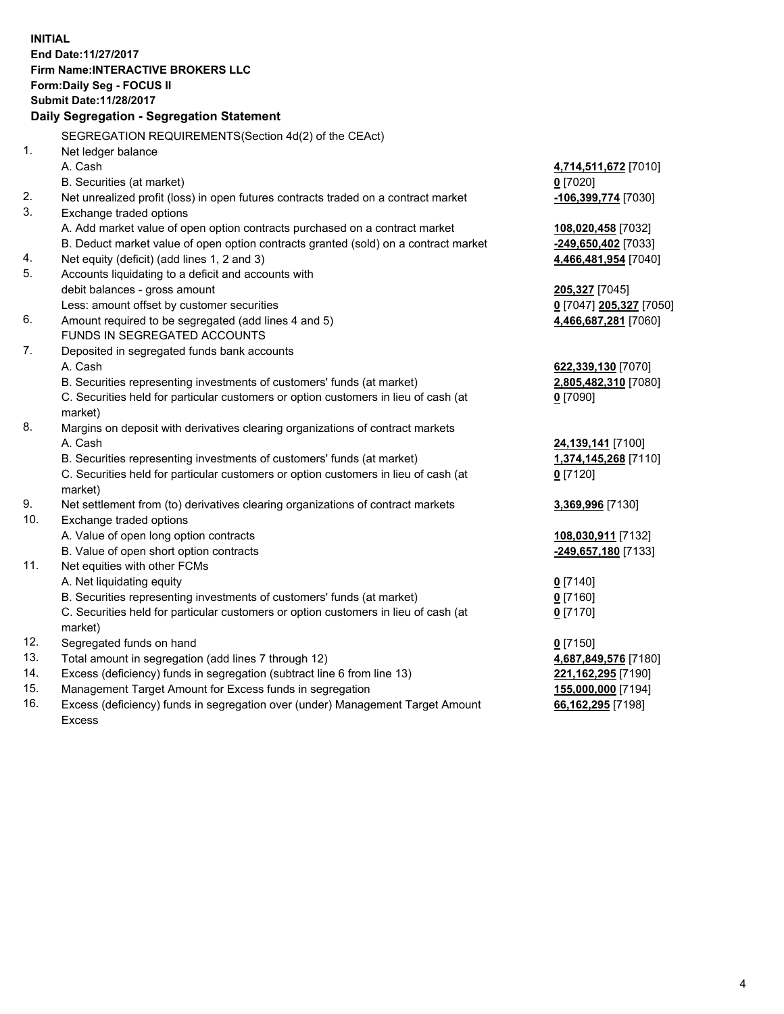**INITIAL End Date:11/27/2017 Firm Name:INTERACTIVE BROKERS LLC Form:Daily Seg - FOCUS II Submit Date:11/28/2017 Daily Segregation - Segregation Statement** SEGREGATION REQUIREMENTS(Section 4d(2) of the CEAct) 1. Net ledger balance A. Cash **4,714,511,672** [7010] B. Securities (at market) **0** [7020] 2. Net unrealized profit (loss) in open futures contracts traded on a contract market **-106,399,774** [7030] 3. Exchange traded options A. Add market value of open option contracts purchased on a contract market **108,020,458** [7032] B. Deduct market value of open option contracts granted (sold) on a contract market **-249,650,402** [7033] 4. Net equity (deficit) (add lines 1, 2 and 3) **4,466,481,954** [7040] 5. Accounts liquidating to a deficit and accounts with debit balances - gross amount **205,327** [7045] Less: amount offset by customer securities **0** [7047] **205,327** [7050] 6. Amount required to be segregated (add lines 4 and 5) **4,466,687,281** [7060] FUNDS IN SEGREGATED ACCOUNTS 7. Deposited in segregated funds bank accounts A. Cash **622,339,130** [7070] B. Securities representing investments of customers' funds (at market) **2,805,482,310** [7080] C. Securities held for particular customers or option customers in lieu of cash (at market) **0** [7090] 8. Margins on deposit with derivatives clearing organizations of contract markets A. Cash **24,139,141** [7100] B. Securities representing investments of customers' funds (at market) **1,374,145,268** [7110] C. Securities held for particular customers or option customers in lieu of cash (at market) **0** [7120] 9. Net settlement from (to) derivatives clearing organizations of contract markets **3,369,996** [7130] 10. Exchange traded options A. Value of open long option contracts **108,030,911** [7132] B. Value of open short option contracts **-249,657,180** [7133] 11. Net equities with other FCMs A. Net liquidating equity **0** [7140] B. Securities representing investments of customers' funds (at market) **0** [7160] C. Securities held for particular customers or option customers in lieu of cash (at market) **0** [7170] 12. Segregated funds on hand **0** [7150] 13. Total amount in segregation (add lines 7 through 12) **4,687,849,576** [7180] 14. Excess (deficiency) funds in segregation (subtract line 6 from line 13) **221,162,295** [7190] 15. Management Target Amount for Excess funds in segregation **155,000,000** [7194] **66,162,295** [7198]

16. Excess (deficiency) funds in segregation over (under) Management Target Amount Excess